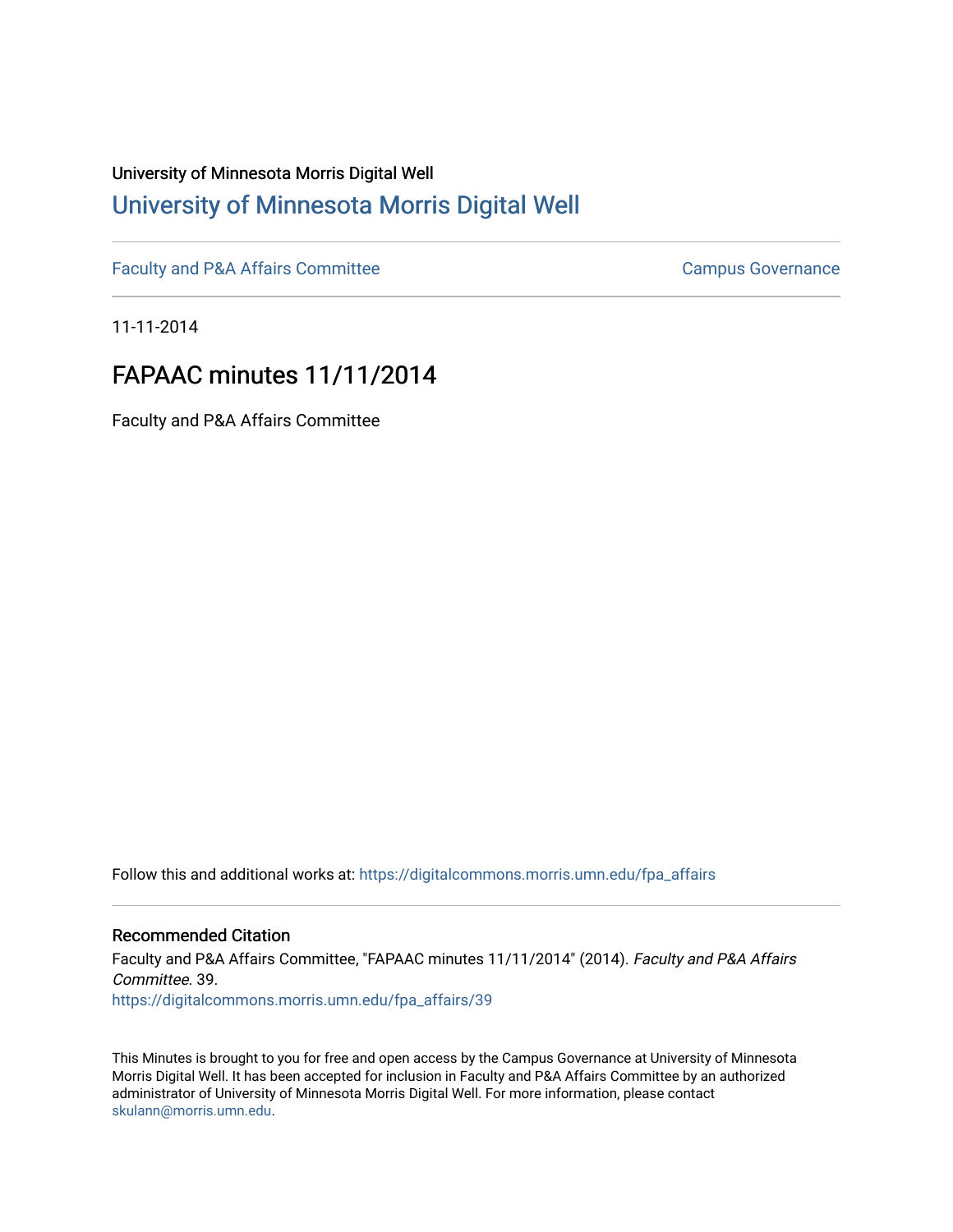## University of Minnesota Morris Digital Well [University of Minnesota Morris Digital Well](https://digitalcommons.morris.umn.edu/)

[Faculty and P&A Affairs Committee](https://digitalcommons.morris.umn.edu/fpa_affairs) [Campus Governance](https://digitalcommons.morris.umn.edu/campgov) Campus Governance

11-11-2014

## FAPAAC minutes 11/11/2014

Faculty and P&A Affairs Committee

Follow this and additional works at: [https://digitalcommons.morris.umn.edu/fpa\\_affairs](https://digitalcommons.morris.umn.edu/fpa_affairs?utm_source=digitalcommons.morris.umn.edu%2Ffpa_affairs%2F39&utm_medium=PDF&utm_campaign=PDFCoverPages)

## Recommended Citation

Faculty and P&A Affairs Committee, "FAPAAC minutes 11/11/2014" (2014). Faculty and P&A Affairs Committee. 39. [https://digitalcommons.morris.umn.edu/fpa\\_affairs/39](https://digitalcommons.morris.umn.edu/fpa_affairs/39?utm_source=digitalcommons.morris.umn.edu%2Ffpa_affairs%2F39&utm_medium=PDF&utm_campaign=PDFCoverPages) 

This Minutes is brought to you for free and open access by the Campus Governance at University of Minnesota Morris Digital Well. It has been accepted for inclusion in Faculty and P&A Affairs Committee by an authorized administrator of University of Minnesota Morris Digital Well. For more information, please contact [skulann@morris.umn.edu.](mailto:skulann@morris.umn.edu)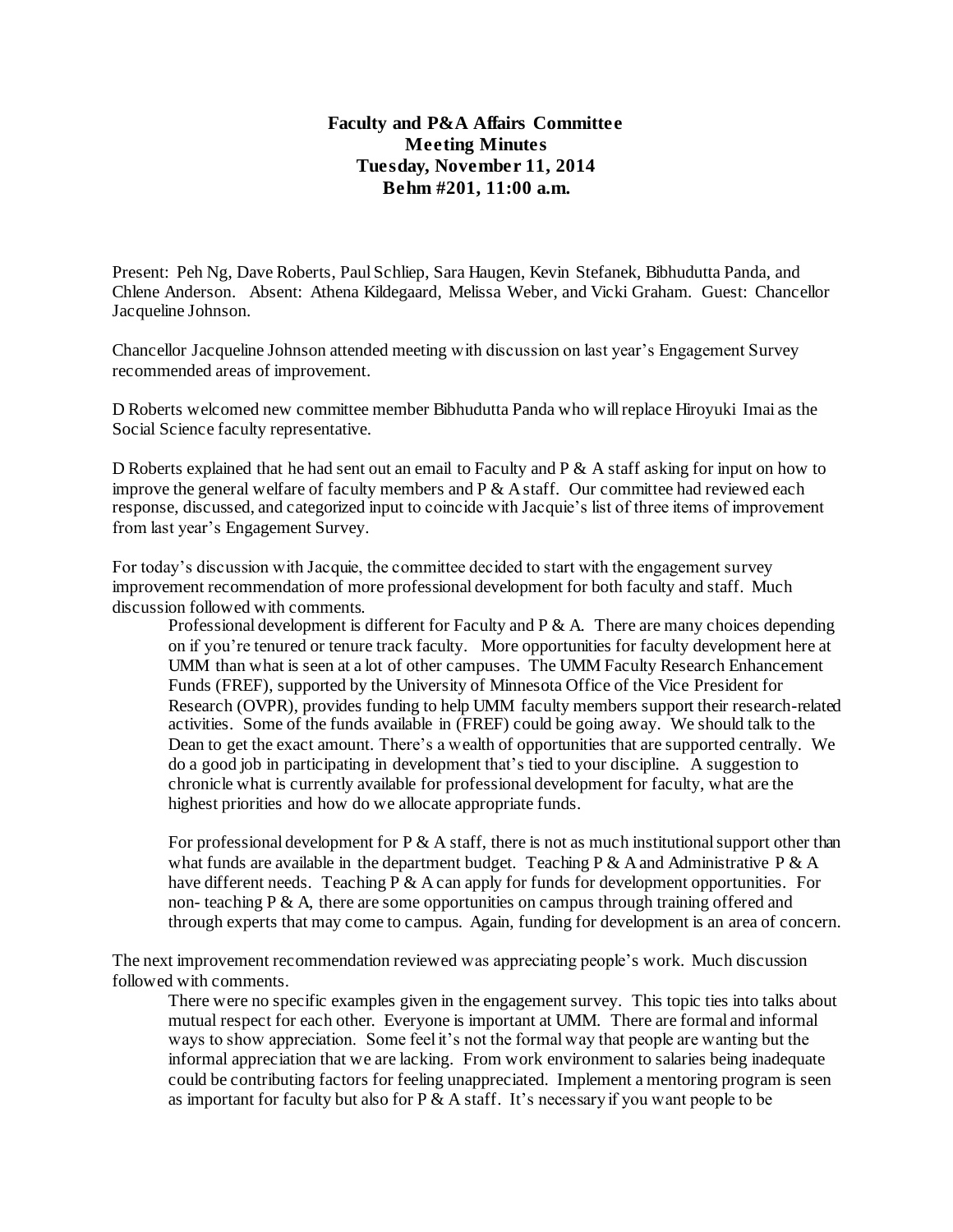## **Faculty and P&A Affairs Committee Meeting Minutes Tuesday, November 11, 2014 Behm #201, 11:00 a.m.**

Present: Peh Ng, Dave Roberts, Paul Schliep, Sara Haugen, Kevin Stefanek, Bibhudutta Panda, and Chlene Anderson. Absent: Athena Kildegaard, Melissa Weber, and Vicki Graham. Guest: Chancellor Jacqueline Johnson.

Chancellor Jacqueline Johnson attended meeting with discussion on last year's Engagement Survey recommended areas of improvement.

D Roberts welcomed new committee member Bibhudutta Panda who will replace Hiroyuki Imai as the Social Science faculty representative.

D Roberts explained that he had sent out an email to Faculty and P & A staff asking for input on how to improve the general welfare of faculty members and P & A staff. Our committee had reviewed each response, discussed, and categorized input to coincide with Jacquie's list of three items of improvement from last year's Engagement Survey.

For today's discussion with Jacquie, the committee decided to start with the engagement survey improvement recommendation of more professional development for both faculty and staff. Much discussion followed with comments.

Professional development is different for Faculty and  $P \& A$ . There are many choices depending on if you're tenured or tenure track faculty. More opportunities for faculty development here at UMM than what is seen at a lot of other campuses. The UMM Faculty Research Enhancement Funds (FREF), supported by the University of Minnesota Office of the Vice President for Research (OVPR), provides funding to help UMM faculty members support their research-related activities. Some of the funds available in (FREF) could be going away. We should talk to the Dean to get the exact amount. There's a wealth of opportunities that are supported centrally. We do a good job in participating in development that's tied to your discipline. A suggestion to chronicle what is currently available for professional development for faculty, what are the highest priorities and how do we allocate appropriate funds.

For professional development for P  $\&$  A staff, there is not as much institutional support other than what funds are available in the department budget. Teaching P  $\&$  A and Administrative P  $\&$  A have different needs. Teaching  $\overline{P} \& A$  can apply for funds for development opportunities. For non- teaching P & A, there are some opportunities on campus through training offered and through experts that may come to campus. Again, funding for development is an area of concern.

The next improvement recommendation reviewed was appreciating people's work. Much discussion followed with comments.

There were no specific examples given in the engagement survey. This topic ties into talks about mutual respect for each other. Everyone is important at UMM. There are formal and informal ways to show appreciation. Some feel it's not the formal way that people are wanting but the informal appreciation that we are lacking. From work environment to salaries being inadequate could be contributing factors for feeling unappreciated. Implement a mentoring program is seen as important for faculty but also for  $P \& A$  staff. It's necessary if you want people to be